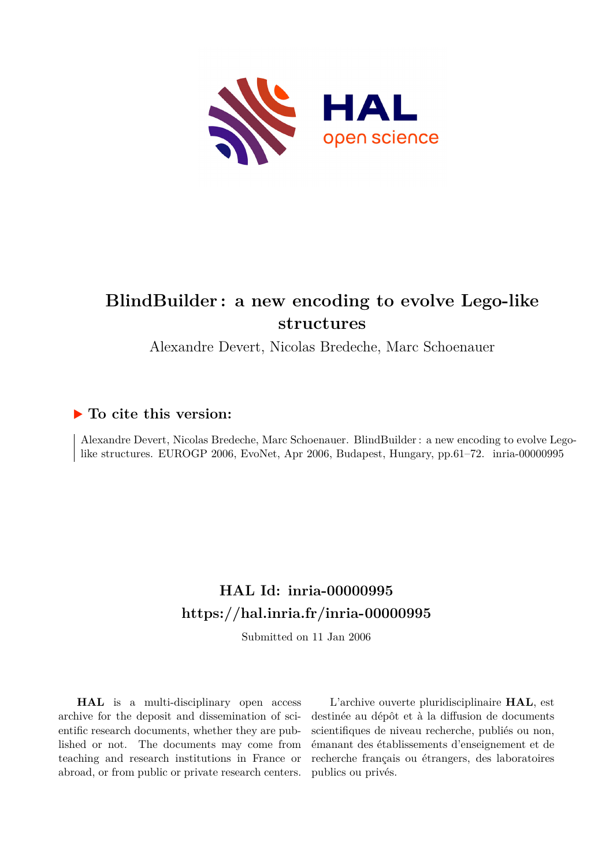

# **BlindBuilder : a new encoding to evolve Lego-like structures**

Alexandre Devert, Nicolas Bredeche, Marc Schoenauer

# **To cite this version:**

Alexandre Devert, Nicolas Bredeche, Marc Schoenauer. BlindBuilder : a new encoding to evolve Legolike structures. EUROGP 2006, EvoNet, Apr 2006, Budapest, Hungary, pp.61–72. inria-00000995

# **HAL Id: inria-00000995 <https://hal.inria.fr/inria-00000995>**

Submitted on 11 Jan 2006

**HAL** is a multi-disciplinary open access archive for the deposit and dissemination of scientific research documents, whether they are published or not. The documents may come from teaching and research institutions in France or abroad, or from public or private research centers.

L'archive ouverte pluridisciplinaire **HAL**, est destinée au dépôt et à la diffusion de documents scientifiques de niveau recherche, publiés ou non, émanant des établissements d'enseignement et de recherche français ou étrangers, des laboratoires publics ou privés.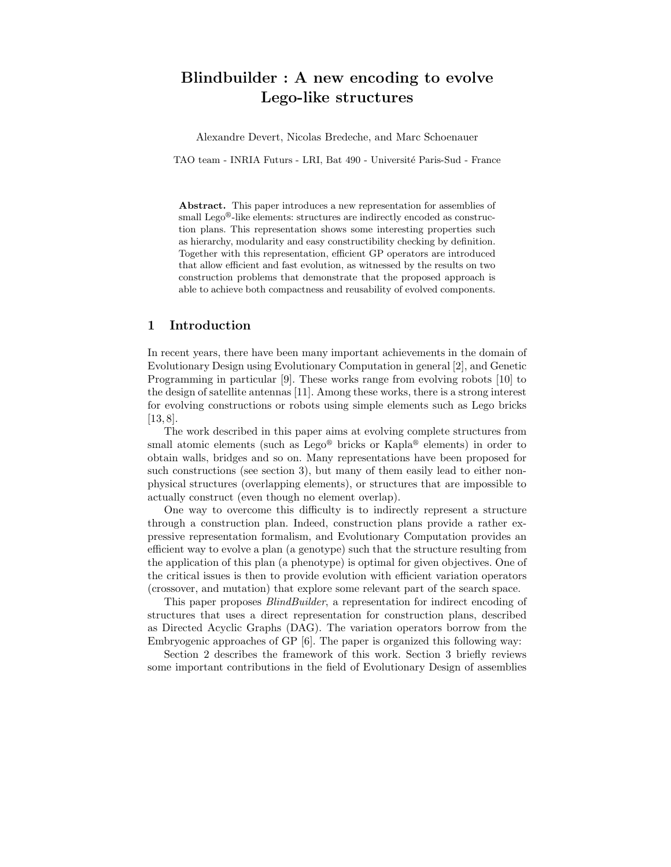# Blindbuilder : A new encoding to evolve Lego-like structures

Alexandre Devert, Nicolas Bredeche, and Marc Schoenauer

TAO team - INRIA Futurs - LRI, Bat 490 - Universit´e Paris-Sud - France

Abstract. This paper introduces a new representation for assemblies of small Lego $^{\circledR}$ -like elements: structures are indirectly encoded as construction plans. This representation shows some interesting properties such as hierarchy, modularity and easy constructibility checking by definition. Together with this representation, efficient GP operators are introduced that allow efficient and fast evolution, as witnessed by the results on two construction problems that demonstrate that the proposed approach is able to achieve both compactness and reusability of evolved components.

#### 1 Introduction

In recent years, there have been many important achievements in the domain of Evolutionary Design using Evolutionary Computation in general [2], and Genetic Programming in particular [9]. These works range from evolving robots [10] to the design of satellite antennas [11]. Among these works, there is a strong interest for evolving constructions or robots using simple elements such as Lego bricks [13, 8].

The work described in this paper aims at evolving complete structures from small atomic elements (such as Lego<sup>®</sup> bricks or Kapla<sup>®</sup> elements) in order to obtain walls, bridges and so on. Many representations have been proposed for such constructions (see section 3), but many of them easily lead to either nonphysical structures (overlapping elements), or structures that are impossible to actually construct (even though no element overlap).

One way to overcome this difficulty is to indirectly represent a structure through a construction plan. Indeed, construction plans provide a rather expressive representation formalism, and Evolutionary Computation provides an efficient way to evolve a plan (a genotype) such that the structure resulting from the application of this plan (a phenotype) is optimal for given objectives. One of the critical issues is then to provide evolution with efficient variation operators (crossover, and mutation) that explore some relevant part of the search space.

This paper proposes BlindBuilder, a representation for indirect encoding of structures that uses a direct representation for construction plans, described as Directed Acyclic Graphs (DAG). The variation operators borrow from the Embryogenic approaches of GP [6]. The paper is organized this following way:

Section 2 describes the framework of this work. Section 3 briefly reviews some important contributions in the field of Evolutionary Design of assemblies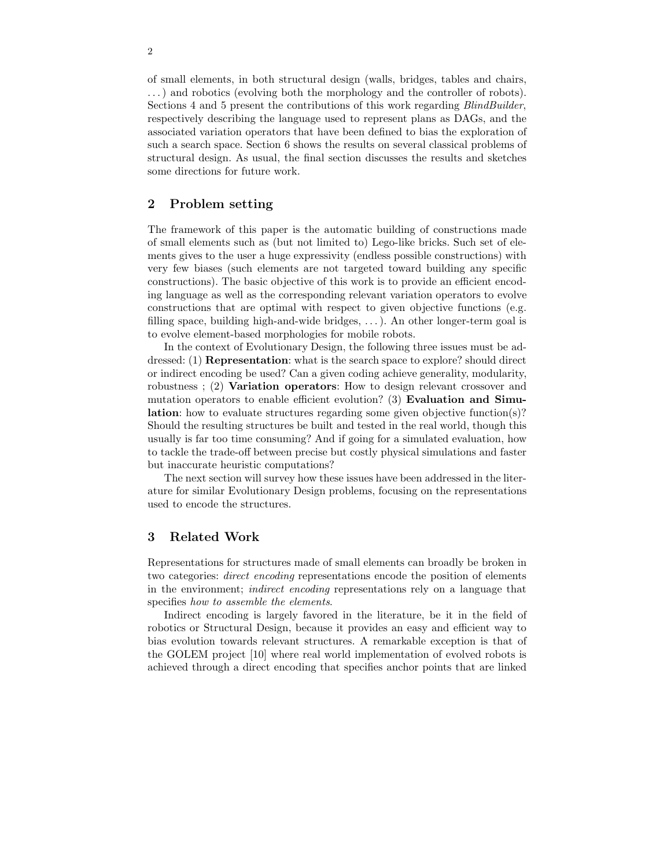of small elements, in both structural design (walls, bridges, tables and chairs, . . . ) and robotics (evolving both the morphology and the controller of robots). Sections 4 and 5 present the contributions of this work regarding BlindBuilder, respectively describing the language used to represent plans as DAGs, and the associated variation operators that have been defined to bias the exploration of such a search space. Section 6 shows the results on several classical problems of structural design. As usual, the final section discusses the results and sketches some directions for future work.

#### 2 Problem setting

The framework of this paper is the automatic building of constructions made of small elements such as (but not limited to) Lego-like bricks. Such set of elements gives to the user a huge expressivity (endless possible constructions) with very few biases (such elements are not targeted toward building any specific constructions). The basic objective of this work is to provide an efficient encoding language as well as the corresponding relevant variation operators to evolve constructions that are optimal with respect to given objective functions (e.g. filling space, building high-and-wide bridges, . . . ). An other longer-term goal is to evolve element-based morphologies for mobile robots.

In the context of Evolutionary Design, the following three issues must be addressed: (1) **Representation**: what is the search space to explore? should direct or indirect encoding be used? Can a given coding achieve generality, modularity, robustness ; (2) Variation operators: How to design relevant crossover and mutation operators to enable efficient evolution? (3) Evaluation and Simulation: how to evaluate structures regarding some given objective function(s)? Should the resulting structures be built and tested in the real world, though this usually is far too time consuming? And if going for a simulated evaluation, how to tackle the trade-off between precise but costly physical simulations and faster but inaccurate heuristic computations?

The next section will survey how these issues have been addressed in the literature for similar Evolutionary Design problems, focusing on the representations used to encode the structures.

## 3 Related Work

Representations for structures made of small elements can broadly be broken in two categories: direct encoding representations encode the position of elements in the environment; indirect encoding representations rely on a language that specifies how to assemble the elements.

Indirect encoding is largely favored in the literature, be it in the field of robotics or Structural Design, because it provides an easy and efficient way to bias evolution towards relevant structures. A remarkable exception is that of the GOLEM project [10] where real world implementation of evolved robots is achieved through a direct encoding that specifies anchor points that are linked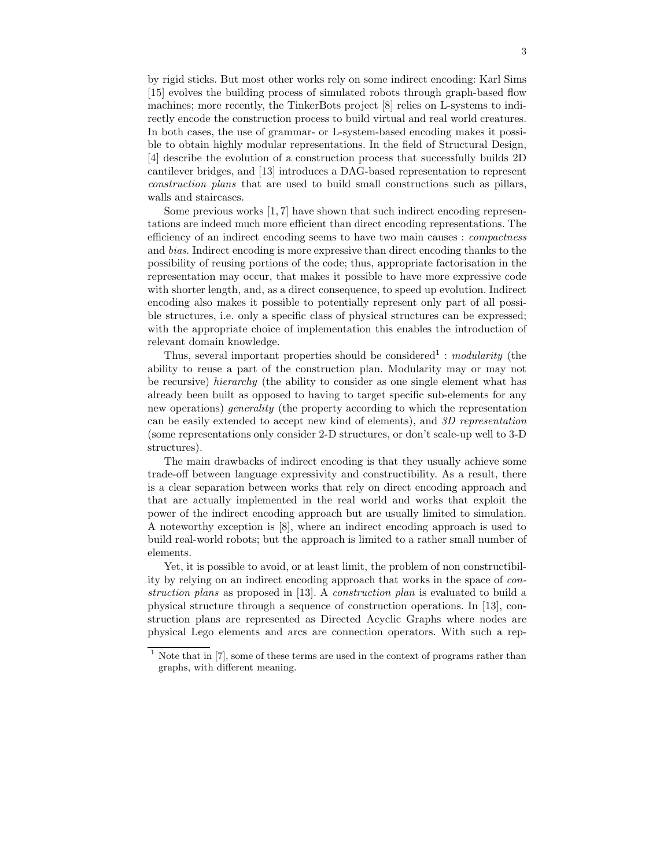by rigid sticks. But most other works rely on some indirect encoding: Karl Sims [15] evolves the building process of simulated robots through graph-based flow machines; more recently, the TinkerBots project [8] relies on L-systems to indirectly encode the construction process to build virtual and real world creatures. In both cases, the use of grammar- or L-system-based encoding makes it possible to obtain highly modular representations. In the field of Structural Design, [4] describe the evolution of a construction process that successfully builds 2D cantilever bridges, and [13] introduces a DAG-based representation to represent construction plans that are used to build small constructions such as pillars, walls and staircases.

Some previous works [1, 7] have shown that such indirect encoding representations are indeed much more efficient than direct encoding representations. The efficiency of an indirect encoding seems to have two main causes : *compactness* and bias. Indirect encoding is more expressive than direct encoding thanks to the possibility of reusing portions of the code; thus, appropriate factorisation in the representation may occur, that makes it possible to have more expressive code with shorter length, and, as a direct consequence, to speed up evolution. Indirect encoding also makes it possible to potentially represent only part of all possible structures, i.e. only a specific class of physical structures can be expressed; with the appropriate choice of implementation this enables the introduction of relevant domain knowledge.

Thus, several important properties should be considered<sup>1</sup>: modularity (the ability to reuse a part of the construction plan. Modularity may or may not be recursive) hierarchy (the ability to consider as one single element what has already been built as opposed to having to target specific sub-elements for any new operations) generality (the property according to which the representation can be easily extended to accept new kind of elements), and 3D representation (some representations only consider 2-D structures, or don't scale-up well to 3-D structures).

The main drawbacks of indirect encoding is that they usually achieve some trade-off between language expressivity and constructibility. As a result, there is a clear separation between works that rely on direct encoding approach and that are actually implemented in the real world and works that exploit the power of the indirect encoding approach but are usually limited to simulation. A noteworthy exception is [8], where an indirect encoding approach is used to build real-world robots; but the approach is limited to a rather small number of elements.

Yet, it is possible to avoid, or at least limit, the problem of non constructibility by relying on an indirect encoding approach that works in the space of construction plans as proposed in [13]. A construction plan is evaluated to build a physical structure through a sequence of construction operations. In [13], construction plans are represented as Directed Acyclic Graphs where nodes are physical Lego elements and arcs are connection operators. With such a rep-

Note that in [7], some of these terms are used in the context of programs rather than graphs, with different meaning.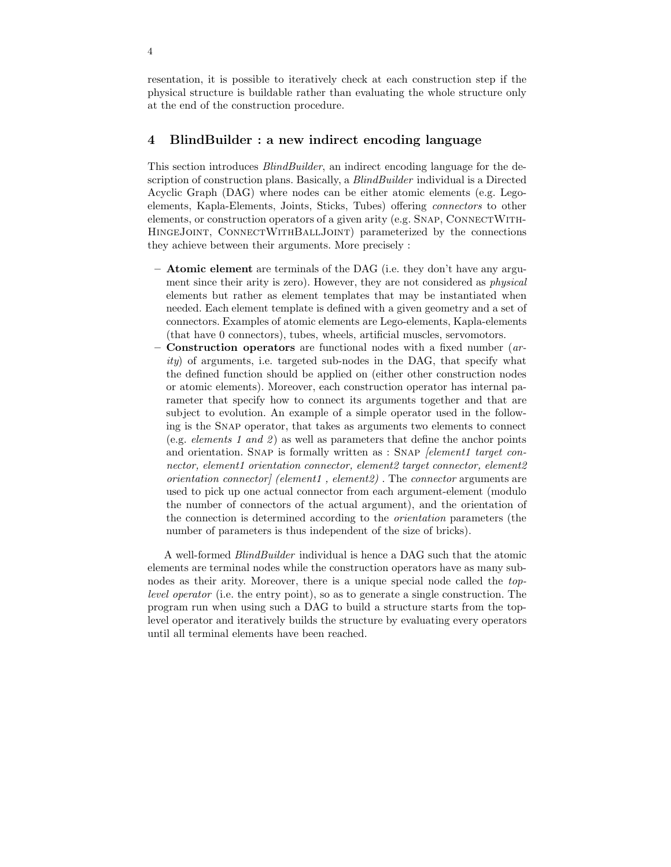resentation, it is possible to iteratively check at each construction step if the physical structure is buildable rather than evaluating the whole structure only at the end of the construction procedure.

#### 4 BlindBuilder : a new indirect encoding language

This section introduces *BlindBuilder*, an indirect encoding language for the description of construction plans. Basically, a *BlindBuilder* individual is a Directed Acyclic Graph (DAG) where nodes can be either atomic elements (e.g. Legoelements, Kapla-Elements, Joints, Sticks, Tubes) offering connectors to other elements, or construction operators of a given arity (e.g. SNAP, CONNECTWITH-HINGEJOINT, CONNECTWITHBALLJOINT) parameterized by the connections they achieve between their arguments. More precisely :

- Atomic element are terminals of the DAG (i.e. they don't have any argument since their arity is zero). However, they are not considered as physical elements but rather as element templates that may be instantiated when needed. Each element template is defined with a given geometry and a set of connectors. Examples of atomic elements are Lego-elements, Kapla-elements (that have 0 connectors), tubes, wheels, artificial muscles, servomotors.
- Construction operators are functional nodes with a fixed number (arity) of arguments, i.e. targeted sub-nodes in the DAG, that specify what the defined function should be applied on (either other construction nodes or atomic elements). Moreover, each construction operator has internal parameter that specify how to connect its arguments together and that are subject to evolution. An example of a simple operator used in the following is the Snap operator, that takes as arguments two elements to connect (e.g. elements 1 and 2) as well as parameters that define the anchor points and orientation. SNAP is formally written as : SNAP  $\ell$ element1 target connector, element1 orientation connector, element2 target connector, element2 orientation connector (element1, element2). The connector arguments are used to pick up one actual connector from each argument-element (modulo the number of connectors of the actual argument), and the orientation of the connection is determined according to the orientation parameters (the number of parameters is thus independent of the size of bricks).

A well-formed BlindBuilder individual is hence a DAG such that the atomic elements are terminal nodes while the construction operators have as many subnodes as their arity. Moreover, there is a unique special node called the toplevel operator (i.e. the entry point), so as to generate a single construction. The program run when using such a DAG to build a structure starts from the toplevel operator and iteratively builds the structure by evaluating every operators until all terminal elements have been reached.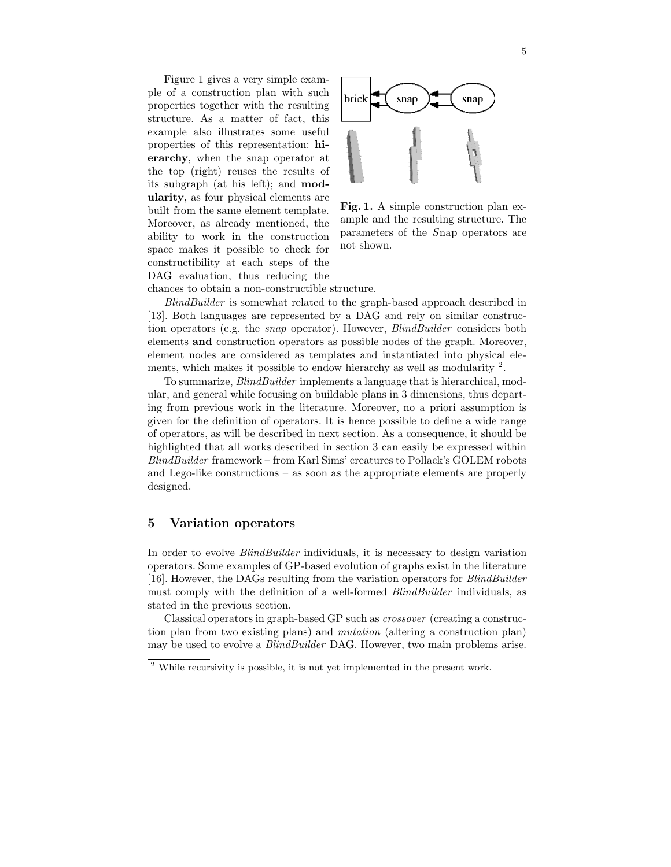Figure 1 gives a very simple example of a construction plan with such properties together with the resulting structure. As a matter of fact, this example also illustrates some useful properties of this representation: hierarchy, when the snap operator at the top (right) reuses the results of its subgraph (at his left); and modularity, as four physical elements are built from the same element template. Moreover, as already mentioned, the ability to work in the construction space makes it possible to check for constructibility at each steps of the DAG evaluation, thus reducing the



Fig. 1. A simple construction plan example and the resulting structure. The parameters of the Snap operators are not shown.

chances to obtain a non-constructible structure.

BlindBuilder is somewhat related to the graph-based approach described in [13]. Both languages are represented by a DAG and rely on similar construction operators (e.g. the snap operator). However, BlindBuilder considers both elements and construction operators as possible nodes of the graph. Moreover, element nodes are considered as templates and instantiated into physical elements, which makes it possible to endow hierarchy as well as modularity <sup>2</sup>.

To summarize, BlindBuilder implements a language that is hierarchical, modular, and general while focusing on buildable plans in 3 dimensions, thus departing from previous work in the literature. Moreover, no a priori assumption is given for the definition of operators. It is hence possible to define a wide range of operators, as will be described in next section. As a consequence, it should be highlighted that all works described in section 3 can easily be expressed within BlindBuilder framework – from Karl Sims' creatures to Pollack's GOLEM robots and Lego-like constructions – as soon as the appropriate elements are properly designed.

## 5 Variation operators

In order to evolve *BlindBuilder* individuals, it is necessary to design variation operators. Some examples of GP-based evolution of graphs exist in the literature [16]. However, the DAGs resulting from the variation operators for BlindBuilder must comply with the definition of a well-formed *BlindBuilder* individuals, as stated in the previous section.

Classical operators in graph-based GP such as crossover (creating a construction plan from two existing plans) and mutation (altering a construction plan) may be used to evolve a *BlindBuilder* DAG. However, two main problems arise.

<sup>&</sup>lt;sup>2</sup> While recursivity is possible, it is not yet implemented in the present work.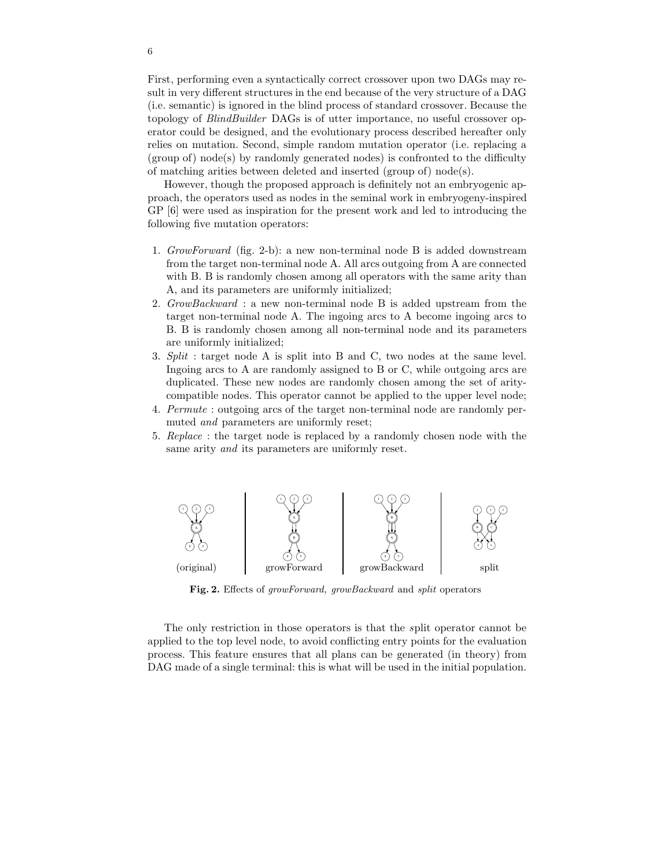First, performing even a syntactically correct crossover upon two DAGs may result in very different structures in the end because of the very structure of a DAG (i.e. semantic) is ignored in the blind process of standard crossover. Because the topology of BlindBuilder DAGs is of utter importance, no useful crossover operator could be designed, and the evolutionary process described hereafter only relies on mutation. Second, simple random mutation operator (i.e. replacing a (group of) node(s) by randomly generated nodes) is confronted to the difficulty of matching arities between deleted and inserted (group of) node(s).

However, though the proposed approach is definitely not an embryogenic approach, the operators used as nodes in the seminal work in embryogeny-inspired GP [6] were used as inspiration for the present work and led to introducing the following five mutation operators:

- 1. GrowForward (fig. 2-b): a new non-terminal node B is added downstream from the target non-terminal node A. All arcs outgoing from A are connected with B. B is randomly chosen among all operators with the same arity than A, and its parameters are uniformly initialized;
- 2. GrowBackward: a new non-terminal node B is added upstream from the target non-terminal node A. The ingoing arcs to A become ingoing arcs to B. B is randomly chosen among all non-terminal node and its parameters are uniformly initialized;
- 3. Split : target node A is split into B and C, two nodes at the same level. Ingoing arcs to A are randomly assigned to B or C, while outgoing arcs are duplicated. These new nodes are randomly chosen among the set of aritycompatible nodes. This operator cannot be applied to the upper level node;
- 4. Permute : outgoing arcs of the target non-terminal node are randomly permuted and parameters are uniformly reset;
- 5. Replace : the target node is replaced by a randomly chosen node with the same arity *and* its parameters are uniformly reset.



Fig. 2. Effects of growForward, growBackward and split operators

The only restriction in those operators is that the split operator cannot be applied to the top level node, to avoid conflicting entry points for the evaluation process. This feature ensures that all plans can be generated (in theory) from DAG made of a single terminal: this is what will be used in the initial population.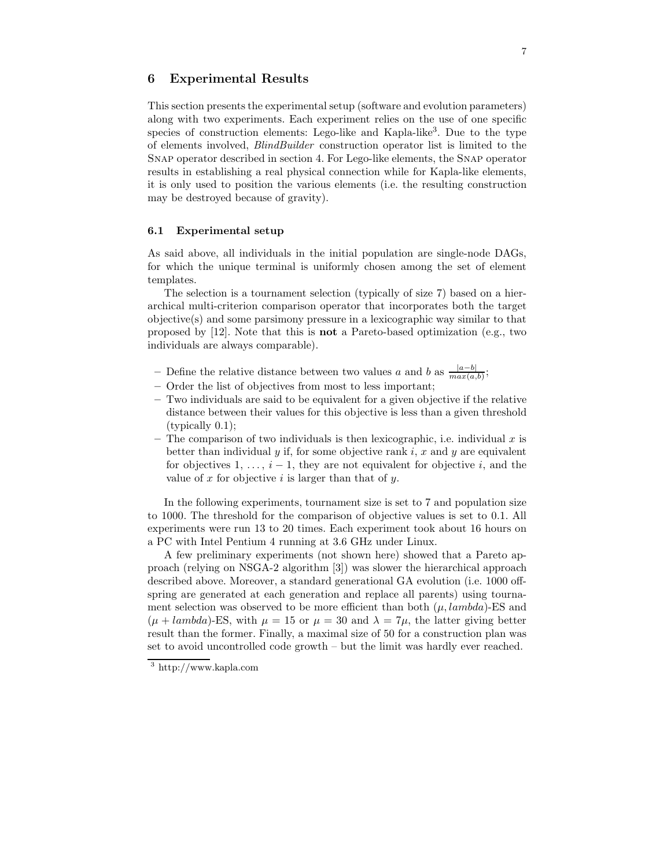#### 6 Experimental Results

This section presents the experimental setup (software and evolution parameters) along with two experiments. Each experiment relies on the use of one specific species of construction elements: Lego-like and Kapla-like 3 . Due to the type of elements involved, BlindBuilder construction operator list is limited to the Snap operator described in section 4. For Lego-like elements, the Snap operator results in establishing a real physical connection while for Kapla-like elements, it is only used to position the various elements (i.e. the resulting construction may be destroyed because of gravity).

#### 6.1 Experimental setup

As said above, all individuals in the initial population are single-node DAGs, for which the unique terminal is uniformly chosen among the set of element templates.

The selection is a tournament selection (typically of size 7) based on a hierarchical multi-criterion comparison operator that incorporates both the target objective(s) and some parsimony pressure in a lexicographic way similar to that proposed by [12]. Note that this is not a Pareto-based optimization (e.g., two individuals are always comparable).

- Define the relative distance between two values a and b as  $\frac{|a-b|}{max(a)}$  $\frac{|a-b|}{max(a,b)}$ ;
- Order the list of objectives from most to less important;
- Two individuals are said to be equivalent for a given objective if the relative distance between their values for this objective is less than a given threshold (typically 0.1);
- The comparison of two individuals is then lexicographic, i.e. individual x is better than individual  $y$  if, for some objective rank  $i, x$  and  $y$  are equivalent for objectives 1, ...,  $i-1$ , they are not equivalent for objective i, and the value of  $x$  for objective  $i$  is larger than that of  $y$ .

In the following experiments, tournament size is set to 7 and population size to 1000. The threshold for the comparison of objective values is set to 0.1. All experiments were run 13 to 20 times. Each experiment took about 16 hours on a PC with Intel Pentium 4 running at 3.6 GHz under Linux.

A few preliminary experiments (not shown here) showed that a Pareto approach (relying on NSGA-2 algorithm [3]) was slower the hierarchical approach described above. Moreover, a standard generational GA evolution (i.e. 1000 offspring are generated at each generation and replace all parents) using tournament selection was observed to be more efficient than both  $(\mu, lambda)$ -ES and  $(\mu + \lambda)$ -ES, with  $\mu = 15$  or  $\mu = 30$  and  $\lambda = 7\mu$ , the latter giving better result than the former. Finally, a maximal size of 50 for a construction plan was set to avoid uncontrolled code growth – but the limit was hardly ever reached.

<sup>3</sup> http://www.kapla.com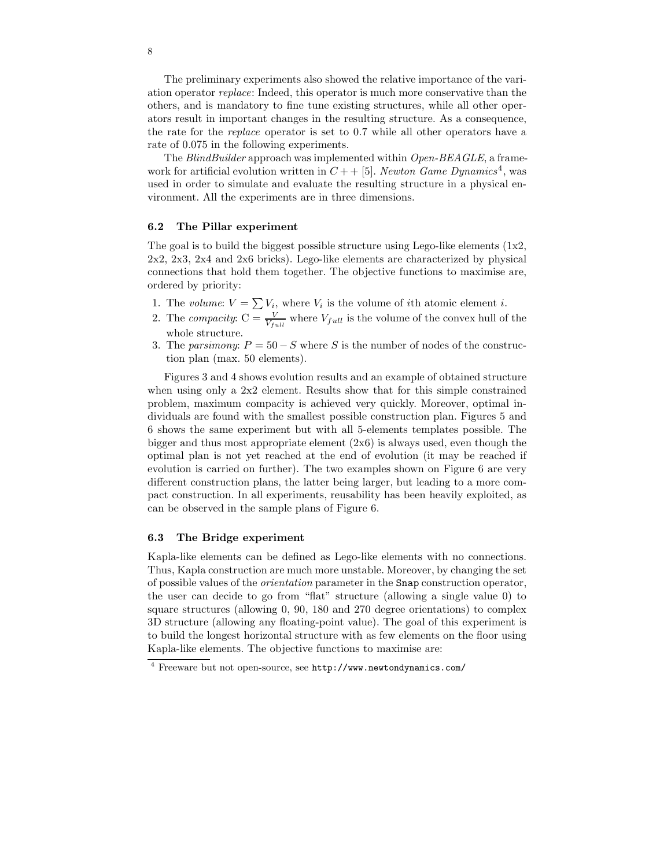The preliminary experiments also showed the relative importance of the variation operator replace: Indeed, this operator is much more conservative than the others, and is mandatory to fine tune existing structures, while all other operators result in important changes in the resulting structure. As a consequence, the rate for the replace operator is set to 0.7 while all other operators have a rate of 0.075 in the following experiments.

The BlindBuilder approach was implemented within Open-BEAGLE, a framework for artificial evolution written in  $C++$  [5]. Newton Game Dynamics<sup>4</sup>, was used in order to simulate and evaluate the resulting structure in a physical environment. All the experiments are in three dimensions.

#### 6.2 The Pillar experiment

The goal is to build the biggest possible structure using Lego-like elements (1x2, 2x2, 2x3, 2x4 and 2x6 bricks). Lego-like elements are characterized by physical connections that hold them together. The objective functions to maximise are, ordered by priority:

- 1. The volume:  $V = \sum V_i$ , where  $V_i$  is the volume of ith atomic element i.
- 2. The *compacity*:  $C = \frac{V}{V_{full}}$  where  $V_{full}$  is the volume of the convex hull of the whole structure.
- 3. The parsimony:  $P = 50 S$  where S is the number of nodes of the construction plan (max. 50 elements).

Figures 3 and 4 shows evolution results and an example of obtained structure when using only a 2x2 element. Results show that for this simple constrained problem, maximum compacity is achieved very quickly. Moreover, optimal individuals are found with the smallest possible construction plan. Figures 5 and 6 shows the same experiment but with all 5-elements templates possible. The bigger and thus most appropriate element  $(2x6)$  is always used, even though the optimal plan is not yet reached at the end of evolution (it may be reached if evolution is carried on further). The two examples shown on Figure 6 are very different construction plans, the latter being larger, but leading to a more compact construction. In all experiments, reusability has been heavily exploited, as can be observed in the sample plans of Figure 6.

#### 6.3 The Bridge experiment

Kapla-like elements can be defined as Lego-like elements with no connections. Thus, Kapla construction are much more unstable. Moreover, by changing the set of possible values of the orientation parameter in the Snap construction operator, the user can decide to go from "flat" structure (allowing a single value 0) to square structures (allowing 0, 90, 180 and 270 degree orientations) to complex 3D structure (allowing any floating-point value). The goal of this experiment is to build the longest horizontal structure with as few elements on the floor using Kapla-like elements. The objective functions to maximise are:

<sup>4</sup> Freeware but not open-source, see http://www.newtondynamics.com/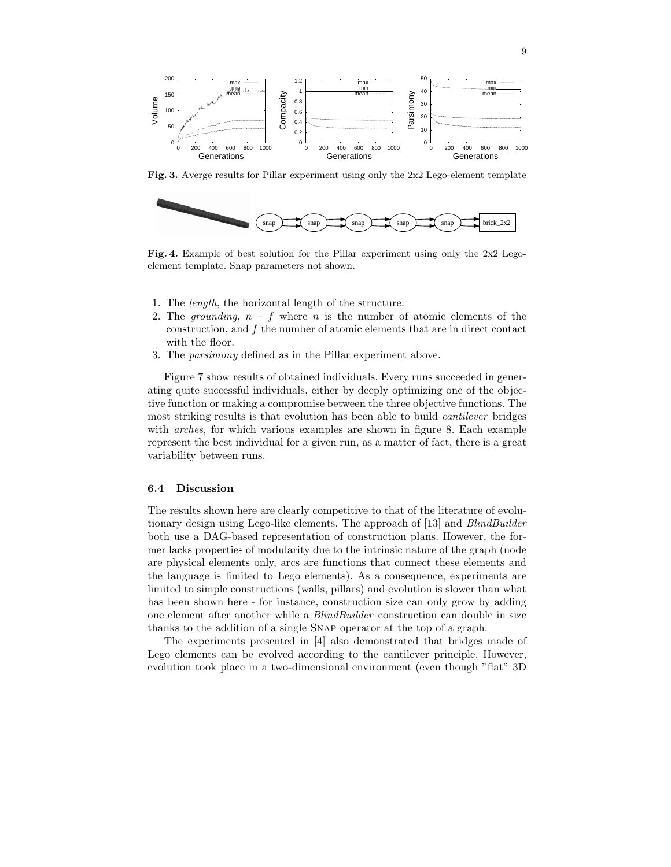

Fig. 3. Averge results for Pillar experiment using only the 2x2 Lego-element template



Fig. 4. Example of best solution for the Pillar experiment using only the 2x2 Legoelement template. Snap parameters not shown.

- 1. The length, the horizontal length of the structure.
- 2. The grounding,  $n f$  where n is the number of atomic elements of the construction, and f the number of atomic elements that are in direct contact with the floor.
- 3. The parsimony defined as in the Pillar experiment above.

Figure 7 show results of obtained individuals. Every runs succeeded in generating quite successful individuals, either by deeply optimizing one of the objective function or making a compromise between the three objective functions. The most striking results is that evolution has been able to build *cantilever* bridges with *arches*, for which various examples are shown in figure 8. Each example represent the best individual for a given run, as a matter of fact, there is a great variability between runs.

#### 6.4 Discussion

The results shown here are clearly competitive to that of the literature of evolutionary design using Lego-like elements. The approach of [13] and BlindBuilder both use a DAG-based representation of construction plans. However, the former lacks properties of modularity due to the intrinsic nature of the graph (node are physical elements only, arcs are functions that connect these elements and the language is limited to Lego elements). As a consequence, experiments are limited to simple constructions (walls, pillars) and evolution is slower than what has been shown here - for instance, construction size can only grow by adding one element after another while a BlindBuilder construction can double in size thanks to the addition of a single Snap operator at the top of a graph.

The experiments presented in [4] also demonstrated that bridges made of Lego elements can be evolved according to the cantilever principle. However, evolution took place in a two-dimensional environment (even though "flat" 3D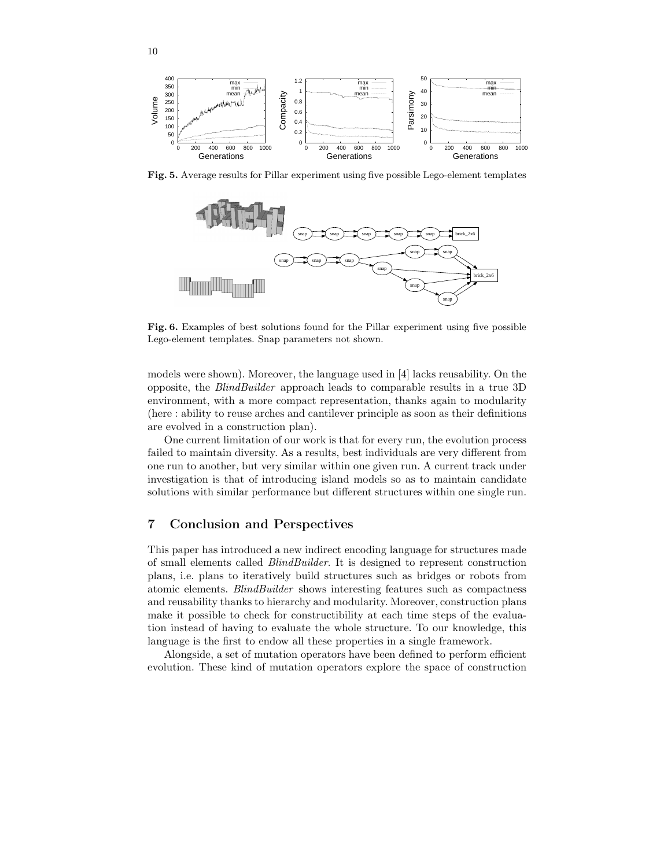

Fig. 5. Average results for Pillar experiment using five possible Lego-element templates



Fig. 6. Examples of best solutions found for the Pillar experiment using five possible Lego-element templates. Snap parameters not shown.

models were shown). Moreover, the language used in [4] lacks reusability. On the opposite, the BlindBuilder approach leads to comparable results in a true 3D environment, with a more compact representation, thanks again to modularity (here : ability to reuse arches and cantilever principle as soon as their definitions are evolved in a construction plan).

One current limitation of our work is that for every run, the evolution process failed to maintain diversity. As a results, best individuals are very different from one run to another, but very similar within one given run. A current track under investigation is that of introducing island models so as to maintain candidate solutions with similar performance but different structures within one single run.

## 7 Conclusion and Perspectives

This paper has introduced a new indirect encoding language for structures made of small elements called BlindBuilder. It is designed to represent construction plans, i.e. plans to iteratively build structures such as bridges or robots from atomic elements. BlindBuilder shows interesting features such as compactness and reusability thanks to hierarchy and modularity. Moreover, construction plans make it possible to check for constructibility at each time steps of the evaluation instead of having to evaluate the whole structure. To our knowledge, this language is the first to endow all these properties in a single framework.

Alongside, a set of mutation operators have been defined to perform efficient evolution. These kind of mutation operators explore the space of construction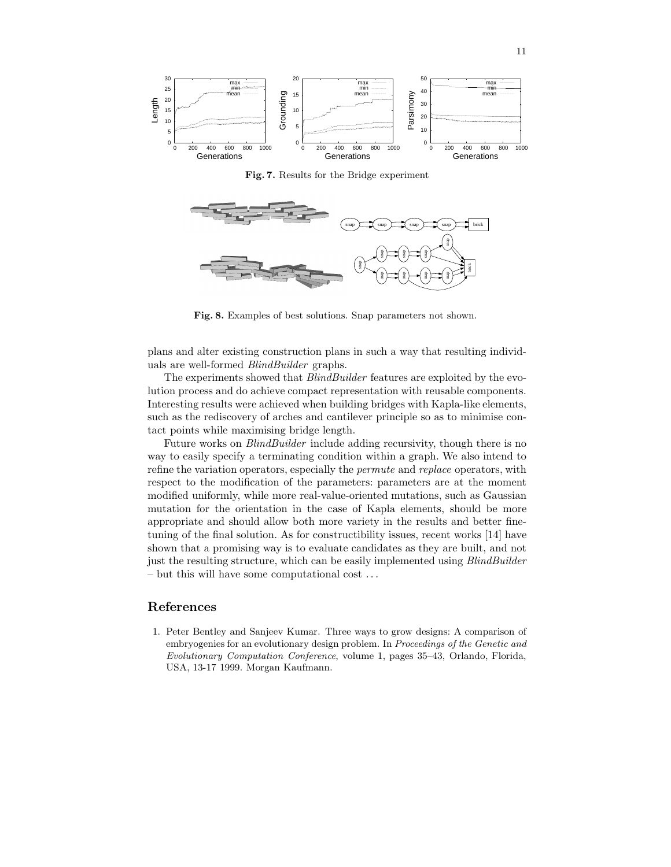

Fig. 7. Results for the Bridge experiment



Fig. 8. Examples of best solutions. Snap parameters not shown.

plans and alter existing construction plans in such a way that resulting individuals are well-formed BlindBuilder graphs.

The experiments showed that *BlindBuilder* features are exploited by the evolution process and do achieve compact representation with reusable components. Interesting results were achieved when building bridges with Kapla-like elements, such as the rediscovery of arches and cantilever principle so as to minimise contact points while maximising bridge length.

Future works on BlindBuilder include adding recursivity, though there is no way to easily specify a terminating condition within a graph. We also intend to refine the variation operators, especially the permute and replace operators, with respect to the modification of the parameters: parameters are at the moment modified uniformly, while more real-value-oriented mutations, such as Gaussian mutation for the orientation in the case of Kapla elements, should be more appropriate and should allow both more variety in the results and better finetuning of the final solution. As for constructibility issues, recent works [14] have shown that a promising way is to evaluate candidates as they are built, and not just the resulting structure, which can be easily implemented using *BlindBuilder* – but this will have some computational cost . . .

## References

1. Peter Bentley and Sanjeev Kumar. Three ways to grow designs: A comparison of embryogenies for an evolutionary design problem. In Proceedings of the Genetic and Evolutionary Computation Conference, volume 1, pages 35–43, Orlando, Florida, USA, 13-17 1999. Morgan Kaufmann.